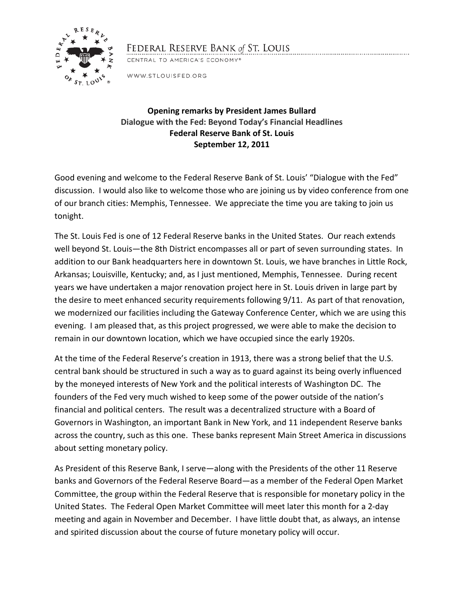

## FEDERAL RESERVE BANK of ST. LOUIS

CENTRAL TO AMERICA'S ECONOMY®

WWW.STLOUISFED.ORG

## **Opening remarks by President James Bullard Dialogue with the Fed: Beyond Today's Financial Headlines Federal Reserve Bank of St. Louis September 12, 2011**

Good evening and welcome to the Federal Reserve Bank of St. Louis' "Dialogue with the Fed" discussion. I would also like to welcome those who are joining us by video conference from one of our branch cities: Memphis, Tennessee. We appreciate the time you are taking to join us tonight.

The St. Louis Fed is one of 12 Federal Reserve banks in the United States. Our reach extends well beyond St. Louis—the 8th District encompasses all or part of seven surrounding states. In addition to our Bank headquarters here in downtown St. Louis, we have branches in Little Rock, Arkansas; Louisville, Kentucky; and, as I just mentioned, Memphis, Tennessee. During recent years we have undertaken a major renovation project here in St. Louis driven in large part by the desire to meet enhanced security requirements following 9/11. As part of that renovation, we modernized our facilities including the Gateway Conference Center, which we are using this evening. I am pleased that, as this project progressed, we were able to make the decision to remain in our downtown location, which we have occupied since the early 1920s.

At the time of the Federal Reserve's creation in 1913, there was a strong belief that the U.S. central bank should be structured in such a way as to guard against its being overly influenced by the moneyed interests of New York and the political interests of Washington DC. The founders of the Fed very much wished to keep some of the power outside of the nation's financial and political centers. The result was a decentralized structure with a Board of Governors in Washington, an important Bank in New York, and 11 independent Reserve banks across the country, such as this one. These banks represent Main Street America in discussions about setting monetary policy.

As President of this Reserve Bank, I serve—along with the Presidents of the other 11 Reserve banks and Governors of the Federal Reserve Board—as a member of the Federal Open Market Committee, the group within the Federal Reserve that is responsible for monetary policy in the United States. The Federal Open Market Committee will meet later this month for a 2-day meeting and again in November and December. I have little doubt that, as always, an intense and spirited discussion about the course of future monetary policy will occur.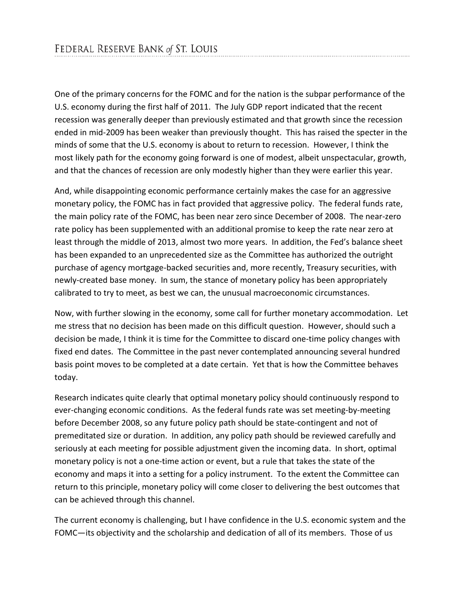One of the primary concerns for the FOMC and for the nation is the subpar performance of the U.S. economy during the first half of 2011. The July GDP report indicated that the recent recession was generally deeper than previously estimated and that growth since the recession ended in mid-2009 has been weaker than previously thought. This has raised the specter in the minds of some that the U.S. economy is about to return to recession. However, I think the most likely path for the economy going forward is one of modest, albeit unspectacular, growth, and that the chances of recession are only modestly higher than they were earlier this year.

And, while disappointing economic performance certainly makes the case for an aggressive monetary policy, the FOMC has in fact provided that aggressive policy. The federal funds rate, the main policy rate of the FOMC, has been near zero since December of 2008. The near-zero rate policy has been supplemented with an additional promise to keep the rate near zero at least through the middle of 2013, almost two more years. In addition, the Fed's balance sheet has been expanded to an unprecedented size as the Committee has authorized the outright purchase of agency mortgage-backed securities and, more recently, Treasury securities, with newly-created base money. In sum, the stance of monetary policy has been appropriately calibrated to try to meet, as best we can, the unusual macroeconomic circumstances.

Now, with further slowing in the economy, some call for further monetary accommodation. Let me stress that no decision has been made on this difficult question. However, should such a decision be made, I think it is time for the Committee to discard one-time policy changes with fixed end dates. The Committee in the past never contemplated announcing several hundred basis point moves to be completed at a date certain. Yet that is how the Committee behaves today.

Research indicates quite clearly that optimal monetary policy should continuously respond to ever-changing economic conditions. As the federal funds rate was set meeting-by-meeting before December 2008, so any future policy path should be state-contingent and not of premeditated size or duration. In addition, any policy path should be reviewed carefully and seriously at each meeting for possible adjustment given the incoming data. In short, optimal monetary policy is not a one-time action or event, but a rule that takes the state of the economy and maps it into a setting for a policy instrument. To the extent the Committee can return to this principle, monetary policy will come closer to delivering the best outcomes that can be achieved through this channel.

The current economy is challenging, but I have confidence in the U.S. economic system and the FOMC—its objectivity and the scholarship and dedication of all of its members. Those of us